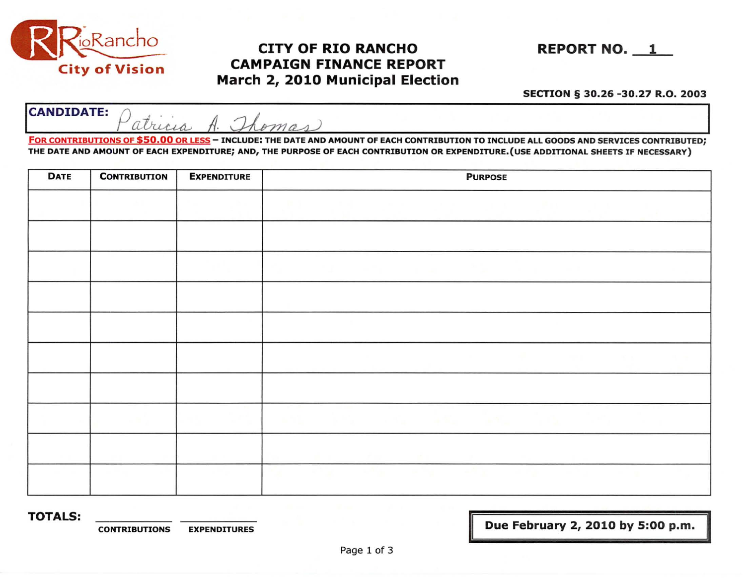

## CITY OF RIO RANCHO REPORT NO. 1 CAMPAIGN FINANCE REPORT March 2, 2010 Municipal Election

## SECTION § 30.26 -30.27 R.O. 2003

**CANDIDATE:** Patricia A. Thomas

FOR CONTRIBUTIONS OF \$50.00 OR LESS - INCLUDE: THE DATE AND AMOUNT OF EACH CONTRIBUTION TO INCLUDE ALL GOODS AND SERVICES CONTRIBUTED; THE DATE AND AMOUNT OF EACH EXPENDITURE; AND, THE PURPOSE OF EACH CONTRIBUTION OR EXPENDITURE.{USE ADDITIONAL SHEETS IF NECESSARY)

| <b>DATE</b> | <b>CONTRIBUTION</b> | <b>EXPENDITURE</b> | <b>PURPOSE</b> |  |  |  |
|-------------|---------------------|--------------------|----------------|--|--|--|
|             |                     |                    |                |  |  |  |
|             |                     |                    |                |  |  |  |
|             |                     |                    |                |  |  |  |
|             |                     |                    |                |  |  |  |
|             |                     |                    |                |  |  |  |
|             |                     |                    |                |  |  |  |
|             |                     |                    |                |  |  |  |
|             |                     |                    |                |  |  |  |
|             |                     |                    |                |  |  |  |
|             |                     |                    |                |  |  |  |

TOTALS:

CONTRIBUTIONS EXPENDITURES **EXPENDITURES In the set of the CONTRIBUTIONS** EXPENDITURES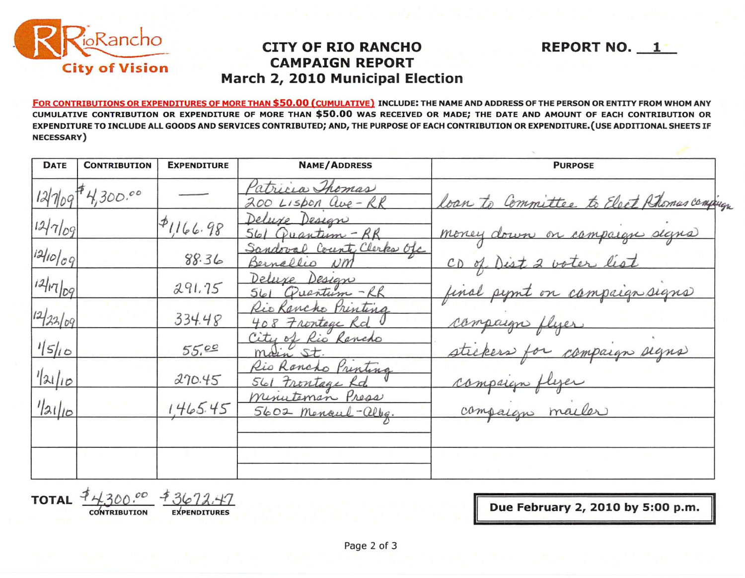

## **CITY OF RIO RANCHO REPORT NO. 1 CAMPAIGN REPORT March 2, 2010 Municipal Election**

FOR CONTRIBUTIONS OR EXPENDITURES OF MORE THAN \$50.00 (CUMULATIVE) INCLUDE: THE NAME ANO ADDRESS OF THE PERSON OR ENTITY FROM WHOM ANY CUMULATIVE CONTRIBUTION OR EXPENDITURE OF MORE THAN \$50.00 WAS RECEIVED OR MADE; THE DATE AND AMOUNT OF EACH CONTRIBUTION OR EXPENDITURE TO INCLUDE ALL GOODS AND SERVICES CONTRIBUTED; AND, THE PURPOSE OF EACH CONTRIBUTION OR EXPENDITURE.(USE ADDITIONAL SHEETS IF NECESSARY)

| <b>DATE</b> | <b>CONTRIBUTION</b> | <b>EXPENDITURE</b> | <b>NAME/ADDRESS</b>                        | <b>PURPOSE</b>                            |
|-------------|---------------------|--------------------|--------------------------------------------|-------------------------------------------|
|             | 1210974,300.00      |                    | Patricia Thomas<br>200 Lispon Que-RR       | loan to Committee to Elect Phonas compagn |
| 12/7/09     |                     | P1166.98           | Deluxe Design<br>561 Quantum - RR          | money down on campaign slans              |
| 12/10/09    |                     | 88.36              | Sandoval County Clerks Ofc<br>Bernallio NM | CD of Dist 2 voter list                   |
| 121709      |                     | 291.75             | Deluxe Design<br>561 Quartum - RR          | final pipot on campaign signs             |
| 1222/09     |                     | 334.48             | Rio Kancho Printina<br>408 Frontage Rd     | compaign flyer                            |
| 1510        |                     | 55.00              | City of Rio Rancho<br>main St.             | stickers for compaign signs               |
| 1/21/10     |                     | 270.45             | Rio Rancho Printina<br>561 Frontage Rd     | compaign flyer                            |
| 1/31/10     |                     | 1465.45            | minuteman Press<br>5602 Mencul-alleg.      | compaign mailer                           |
|             |                     |                    |                                            |                                           |
|             |                     |                    |                                            |                                           |

**TOTAL**  $\frac{4430000}{\frac{1}{2000}} \frac{1}{1000}$   $\frac{3672.47}{\frac{1}{2000}}$   $\frac{1}{200}$   $\frac{1}{200}$   $\frac{1}{200}$   $\frac{1}{200}$   $\frac{1}{200}$   $\frac{1}{200}$   $\frac{1}{200}$   $\frac{1}{200}$   $\frac{1}{200}$   $\frac{1}{200}$   $\frac{1}{200}$   $\frac{1}{200}$   $\frac{1}{200}$ 

II